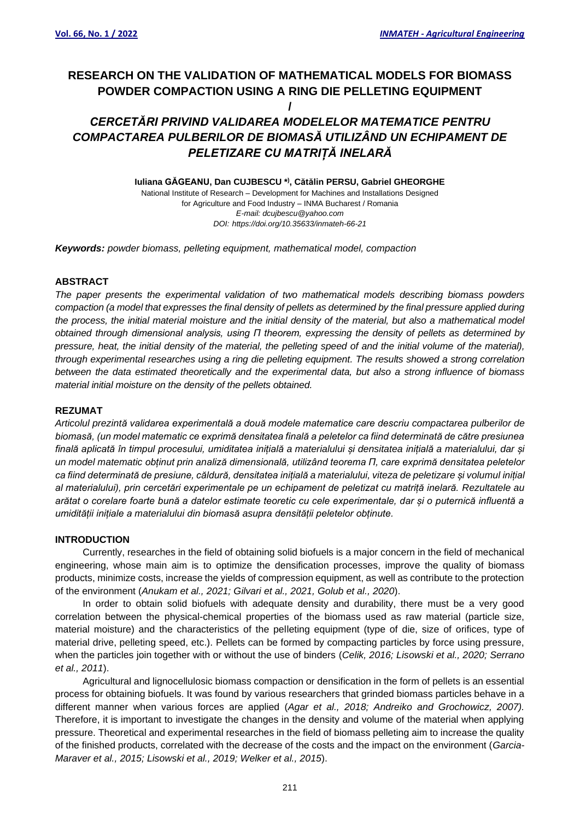# **RESEARCH ON THE VALIDATION OF MATHEMATICAL MODELS FOR BIOMASS POWDER COMPACTION USING A RING DIE PELLETING EQUIPMENT**

### **/**

### *CERCETĂRI PRIVIND VALIDAREA MODELELOR MATEMATICE PENTRU COMPACTAREA PULBERILOR DE BIOMASĂ UTILIZÂND UN ECHIPAMENT DE PELETIZARE CU MATRIȚĂ INELARĂ*

**Iuliana GĂGEANU, Dan CUJBESCU \* ) , Cătălin PERSU, Gabriel GHEORGHE**

National Institute of Research – Development for Machines and Installations Designed for Agriculture and Food Industry – INMA Bucharest / Romania *E-mail: dcujbescu@yahoo.com DOI: https://doi.org/10.35633/inmateh-66-21*

*Keywords: powder biomass, pelleting equipment, mathematical model, compaction*

#### **ABSTRACT**

*The paper presents the experimental validation of two mathematical models describing biomass powders compaction (a model that expresses the final density of pellets as determined by the final pressure applied during the process, the initial material moisture and the initial density of the material, but also a mathematical model obtained through dimensional analysis, using Π theorem, expressing the density of pellets as determined by pressure, heat, the initial density of the material, the pelleting speed of and the initial volume of the material), through experimental researches using a ring die pelleting equipment. The results showed a strong correlation between the data estimated theoretically and the experimental data, but also a strong influence of biomass material initial moisture on the density of the pellets obtained.*

#### **REZUMAT**

*Articolul prezintă validarea experimentală a două modele matematice care descriu compactarea pulberilor de biomasă, (un model matematic ce exprimă densitatea finală a peletelor ca fiind determinată de către presiunea finală aplicată în timpul procesului, umiditatea inițială a materialului și densitatea inițială a materialului, dar și un model matematic obținut prin analiză dimensională, utilizând teorema Π, care exprimă densitatea peletelor ca fiind determinată de presiune, căldură, densitatea inițială a materialului, viteza de peletizare și volumul inițial al materialului), prin cercetări experimentale pe un echipament de peletizat cu matriță inelară. Rezultatele au arătat o corelare foarte bună a datelor estimate teoretic cu cele experimentale, dar și o puternică influentă a umidității inițiale a materialului din biomasă asupra densității peletelor obținute.* 

#### **INTRODUCTION**

Currently, researches in the field of obtaining solid biofuels is a major concern in the field of mechanical engineering, whose main aim is to optimize the densification processes, improve the quality of biomass products, minimize costs, increase the yields of compression equipment, as well as contribute to the protection of the environment (*Anukam et al., 2021; Gilvari et al., 2021, Golub et al., 2020*).

In order to obtain solid biofuels with adequate density and durability, there must be a very good correlation between the physical-chemical properties of the biomass used as raw material (particle size, material moisture) and the characteristics of the pelleting equipment (type of die, size of orifices, type of material drive, pelleting speed, etc.). Pellets can be formed by compacting particles by force using pressure, when the particles join together with or without the use of binders (*Celik, 2016; Lisowski et al., 2020; Serrano et al., 2011*).

Agricultural and lignocellulosic biomass compaction or densification in the form of pellets is an essential process for obtaining biofuels. It was found by various researchers that grinded biomass particles behave in a different manner when various forces are applied (*Agar et al., 2018; Andreiko and Grochowicz, 2007).*  Therefore, it is important to investigate the changes in the density and volume of the material when applying pressure. Theoretical and experimental researches in the field of biomass pelleting aim to increase the quality of the finished products, correlated with the decrease of the costs and the impact on the environment (*Garcia-Maraver et al., 2015; Lisowski et al., 2019; Welker et al., 2015*).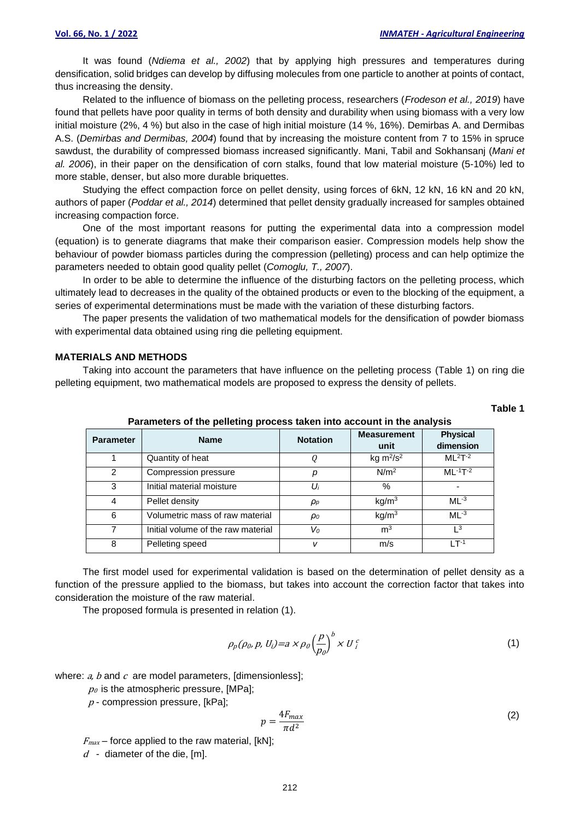It was found (*Ndiema et al., 2002*) that by applying high pressures and temperatures during densification, solid bridges can develop by diffusing molecules from one particle to another at points of contact, thus increasing the density.

Related to the influence of biomass on the pelleting process, researchers (*Frodeson et al., 2019*) have found that pellets have poor quality in terms of both density and durability when using biomass with a very low initial moisture (2%, 4 %) but also in the case of high initial moisture (14 %, 16%). Demirbas A. and Dermibas A.S. (*Demirbas and Dermibas, 2004*) found that by increasing the moisture content from 7 to 15% in spruce sawdust, the durability of compressed biomass increased significantly. Mani, Tabil and Sokhansanj (*Mani et al. 2006*), in their paper on the densification of corn stalks, found that low material moisture (5-10%) led to more stable, denser, but also more durable briquettes.

Studying the effect compaction force on pellet density, using forces of 6kN, 12 kN, 16 kN and 20 kN, authors of paper (*Poddar et al., 2014*) determined that pellet density gradually increased for samples obtained increasing compaction force.

One of the most important reasons for putting the experimental data into a compression model (equation) is to generate diagrams that make their comparison easier. Compression models help show the behaviour of powder biomass particles during the compression (pelleting) process and can help optimize the parameters needed to obtain good quality pellet (*Comoglu, T., 2007*).

In order to be able to determine the influence of the disturbing factors on the pelleting process, which ultimately lead to decreases in the quality of the obtained products or even to the blocking of the equipment, a series of experimental determinations must be made with the variation of these disturbing factors.

The paper presents the validation of two mathematical models for the densification of powder biomass with experimental data obtained using ring die pelleting equipment.

#### **MATERIALS AND METHODS**

Taking into account the parameters that have influence on the pelleting process (Table 1) on ring die pelleting equipment, two mathematical models are proposed to express the density of pellets.

# **Table 1**

| <b>Parameter</b> | <b>Name</b>                        | <b>Notation</b> | <b>Measurement</b><br>unit | <b>Physical</b><br>dimension |
|------------------|------------------------------------|-----------------|----------------------------|------------------------------|
|                  | Quantity of heat                   |                 | kg $m^2/s^2$               | $ML2T-2$                     |
| $\mathcal{P}$    | Compression pressure               | р               | N/m <sup>2</sup>           | $ML - 1T - 2$                |
| 3                | Initial material moisture          | Ui              | $\%$                       |                              |
| 4                | Pellet density                     | $\rho_p$        | kg/m <sup>3</sup>          | $ML^{-3}$                    |
| 6                | Volumetric mass of raw material    | $\rho_0$        | kq/m <sup>3</sup>          | $ML^{-3}$                    |
|                  | Initial volume of the raw material | $V_0$           | m <sup>3</sup>             | $\sqrt{3}$                   |
| 8                | Pelleting speed                    | v               | m/s                        | $1 T^{-1}$                   |

**Parameters of the pelleting process taken into account in the analysis**

The first model used for experimental validation is based on the determination of pellet density as a function of the pressure applied to the biomass, but takes into account the correction factor that takes into consideration the moisture of the raw material.

The proposed formula is presented in relation (1).

$$
\rho_p(\rho_0, p, U_i) = a \times \rho_0 \left(\frac{p}{p_0}\right)^b \times U_i^c \tag{1}
$$

where:  $a$ ,  $b$  and  $c$  are model parameters, [dimensionless];

 $p_0$  is the atmospheric pressure, [MPa];

 $p$  - compression pressure, [kPa];

$$
p = \frac{4F_{max}}{\pi d^2} \tag{2}
$$

 $F_{max}$  – force applied to the raw material, [kN];

 $d$  - diameter of the die, [m].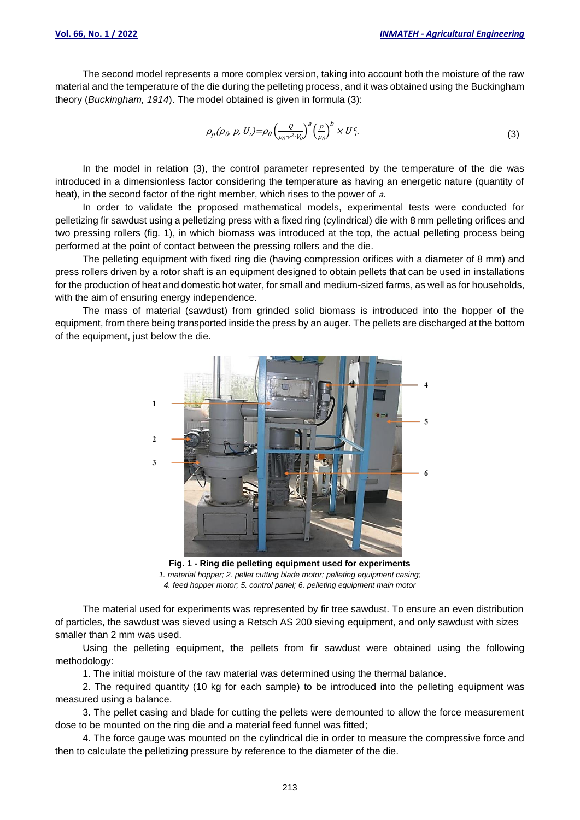The second model represents a more complex version, taking into account both the moisture of the raw material and the temperature of the die during the pelleting process, and it was obtained using the Buckingham theory (*Buckingham, 1914*). The model obtained is given in formula (3):

$$
\rho_p(\rho_0, p, U_i) = \rho_0 \left(\frac{Q}{\rho_0 v^2 \cdot V_0}\right)^a \left(\frac{p}{p_0}\right)^b \times U_f^c
$$
\n(3)

In the model in relation (3), the control parameter represented by the temperature of the die was introduced in a dimensionless factor considering the temperature as having an energetic nature (quantity of heat), in the second factor of the right member, which rises to the power of a.

In order to validate the proposed mathematical models, experimental tests were conducted for pelletizing fir sawdust using a pelletizing press with a fixed ring (cylindrical) die with 8 mm pelleting orifices and two pressing rollers (fig. 1), in which biomass was introduced at the top, the actual pelleting process being performed at the point of contact between the pressing rollers and the die.

The pelleting equipment with fixed ring die (having compression orifices with a diameter of 8 mm) and press rollers driven by a rotor shaft is an equipment designed to obtain pellets that can be used in installations for the production of heat and domestic hot water, for small and medium-sized farms, as well as for households, with the aim of ensuring energy independence.

The mass of material (sawdust) from grinded solid biomass is introduced into the hopper of the equipment, from there being transported inside the press by an auger. The pellets are discharged at the bottom of the equipment, just below the die.



**Fig. 1 - Ring die pelleting equipment used for experiments** *1. material hopper; 2. pellet cutting blade motor; pelleting equipment casing; 4. feed hopper motor; 5. control panel; 6. pelleting equipment main motor*

The material used for experiments was represented by fir tree sawdust. To ensure an even distribution of particles, the sawdust was sieved using a Retsch AS 200 sieving equipment, and only sawdust with sizes smaller than 2 mm was used.

Using the pelleting equipment, the pellets from fir sawdust were obtained using the following methodology:

1. The initial moisture of the raw material was determined using the thermal balance.

2. The required quantity (10 kg for each sample) to be introduced into the pelleting equipment was measured using a balance.

3. The pellet casing and blade for cutting the pellets were demounted to allow the force measurement dose to be mounted on the ring die and a material feed funnel was fitted;

4. The force gauge was mounted on the cylindrical die in order to measure the compressive force and then to calculate the pelletizing pressure by reference to the diameter of the die.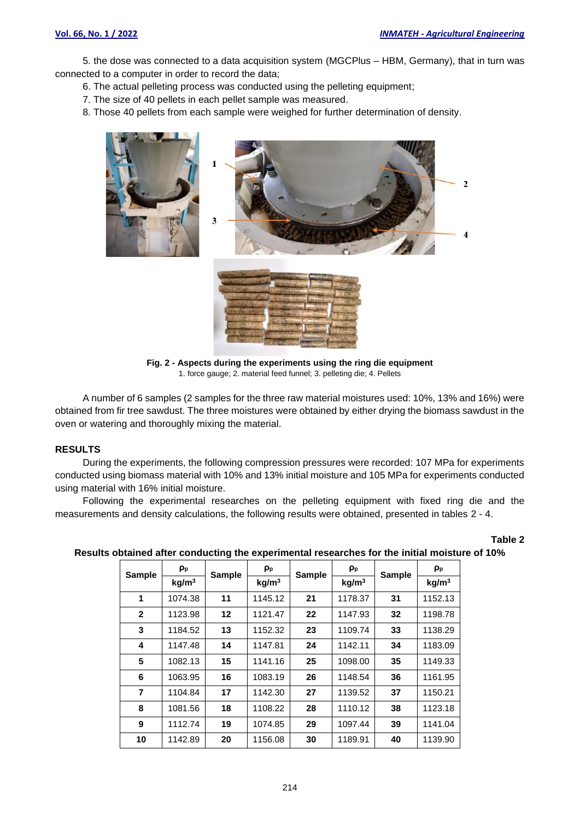5. the dose was connected to a data acquisition system (MGCPlus – HBM, Germany), that in turn was connected to a computer in order to record the data;

- 6. The actual pelleting process was conducted using the pelleting equipment;
- 7. The size of 40 pellets in each pellet sample was measured.
- 8. Those 40 pellets from each sample were weighed for further determination of density.



**Fig. 2 - Aspects during the experiments using the ring die equipment** 1. force gauge; 2. material feed funnel; 3. pelleting die; 4. Pellets

A number of 6 samples (2 samples for the three raw material moistures used: 10%, 13% and 16%) were obtained from fir tree sawdust. The three moistures were obtained by either drying the biomass sawdust in the oven or watering and thoroughly mixing the material.

#### **RESULTS**

During the experiments, the following compression pressures were recorded: 107 MPa for experiments conducted using biomass material with 10% and 13% initial moisture and 105 MPa for experiments conducted using material with 16% initial moisture.

Following the experimental researches on the pelleting equipment with fixed ring die and the measurements and density calculations, the following results were obtained, presented in tables 2 - 4.

| ОІ<br>Ш |  |
|---------|--|
|---------|--|

| <b>Sample</b> | ρp                | <b>Sample</b> | ρp                | <b>Sample</b> | Pp                | <b>Sample</b> | ρ <sub>p</sub>    |
|---------------|-------------------|---------------|-------------------|---------------|-------------------|---------------|-------------------|
|               | kg/m <sup>3</sup> |               | kg/m <sup>3</sup> |               | kg/m <sup>3</sup> |               | kg/m <sup>3</sup> |
| 1             | 1074.38           | 11            | 1145.12           | 21            | 1178.37           | 31            | 1152.13           |
| $\mathbf{2}$  | 1123.98           | 12            | 1121.47           | 22            | 1147.93           | 32            | 1198.78           |
| 3             | 1184.52           | 13            | 1152.32           | 23            | 1109.74           | 33            | 1138.29           |
| 4             | 1147.48           | 14            | 1147.81           | 24            | 1142.11           | 34            | 1183.09           |
| 5             | 1082.13           | 15            | 1141.16           | 25            | 1098.00           | 35            | 1149.33           |
| 6             | 1063.95           | 16            | 1083.19           | 26            | 1148.54           | 36            | 1161.95           |
| 7             | 1104.84           | 17            | 1142.30           | 27            | 1139.52           | 37            | 1150.21           |
| 8             | 1081.56           | 18            | 1108.22           | 28            | 1110.12           | 38            | 1123.18           |
| 9             | 1112.74           | 19            | 1074.85           | 29            | 1097.44           | 39            | 1141.04           |
| 10            | 1142.89           | 20            | 1156.08           | 30            | 1189.91           | 40            | 1139.90           |

#### **Results obtained after conducting the experimental researches for the initial moisture of 10%**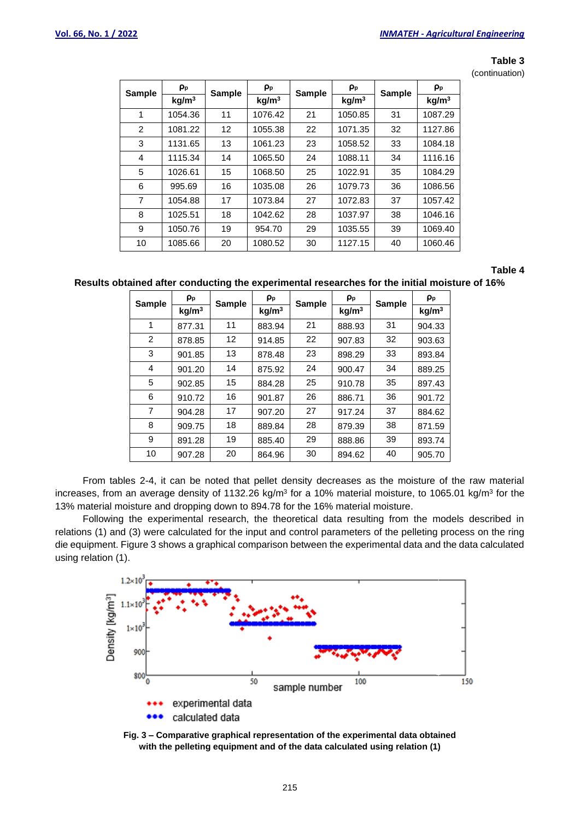#### **Table 3**

(continuation)

| <b>Sample</b> | ρ <sub>p</sub>    | <b>Sample</b> | ρp                | <b>Sample</b> | ρ <sub>p</sub>    | <b>Sample</b> | ρ <sub>p</sub>    |
|---------------|-------------------|---------------|-------------------|---------------|-------------------|---------------|-------------------|
|               | kg/m <sup>3</sup> |               | kg/m <sup>3</sup> |               | kg/m <sup>3</sup> |               | kg/m <sup>3</sup> |
| 1             | 1054.36           | 11            | 1076.42           | 21            | 1050.85           | 31            | 1087.29           |
| 2             | 1081.22           | 12            | 1055.38           | 22            | 1071.35           | 32            | 1127.86           |
| 3             | 1131.65           | 13            | 1061.23           | 23            | 1058.52           | 33            | 1084.18           |
| 4             | 1115.34           | 14            | 1065.50           | 24            | 1088.11           | 34            | 1116.16           |
| 5             | 1026.61           | 15            | 1068.50           | 25            | 1022.91           | 35            | 1084.29           |
| 6             | 995.69            | 16            | 1035.08           | 26            | 1079.73           | 36            | 1086.56           |
| 7             | 1054.88           | 17            | 1073.84           | 27            | 1072.83           | 37            | 1057.42           |
| 8             | 1025.51           | 18            | 1042.62           | 28            | 1037.97           | 38            | 1046.16           |
| 9             | 1050.76           | 19            | 954.70            | 29            | 1035.55           | 39            | 1069.40           |
| 10            | 1085.66           | 20            | 1080.52           | 30            | 1127.15           | 40            | 1060.46           |

#### **Table 4**

**Results obtained after conducting the experimental researches for the initial moisture of 16%**

| <b>Sample</b> | $\rho_{\rm p}$    | <b>Sample</b> | Pp                | <b>Sample</b> | $\rho_{\rm p}$    | <b>Sample</b> | $\rho_{\rm p}$    |
|---------------|-------------------|---------------|-------------------|---------------|-------------------|---------------|-------------------|
|               | kg/m <sup>3</sup> |               | kg/m <sup>3</sup> |               | kg/m <sup>3</sup> |               | kg/m <sup>3</sup> |
| 1             | 877.31            | 11            | 883.94            | 21            | 888.93            | 31            | 904.33            |
| 2             | 878.85            | 12            | 914.85            | 22            | 907.83            | 32            | 903.63            |
| 3             | 901.85            | 13            | 878.48            | 23            | 898.29            | 33            | 893.84            |
| 4             | 901.20            | 14            | 875.92            | 24            | 900.47            | 34            | 889.25            |
| 5             | 902.85            | 15            | 884.28            | 25            | 910.78            | 35            | 897.43            |
| 6             | 910.72            | 16            | 901.87            | 26            | 886.71            | 36            | 901.72            |
| 7             | 904.28            | 17            | 907.20            | 27            | 917.24            | 37            | 884.62            |
| 8             | 909.75            | 18            | 889.84            | 28            | 879.39            | 38            | 871.59            |
| 9             | 891.28            | 19            | 885.40            | 29            | 888.86            | 39            | 893.74            |
| 10            | 907.28            | 20            | 864.96            | 30            | 894.62            | 40            | 905.70            |

From tables 2-4, it can be noted that pellet density decreases as the moisture of the raw material increases, from an average density of 1132.26 kg/m<sup>3</sup> for a 10% material moisture, to 1065.01 kg/m<sup>3</sup> for the 13% material moisture and dropping down to 894.78 for the 16% material moisture.

Following the experimental research, the theoretical data resulting from the models described in relations (1) and (3) were calculated for the input and control parameters of the pelleting process on the ring die equipment. Figure 3 shows a graphical comparison between the experimental data and the data calculated using relation (1).



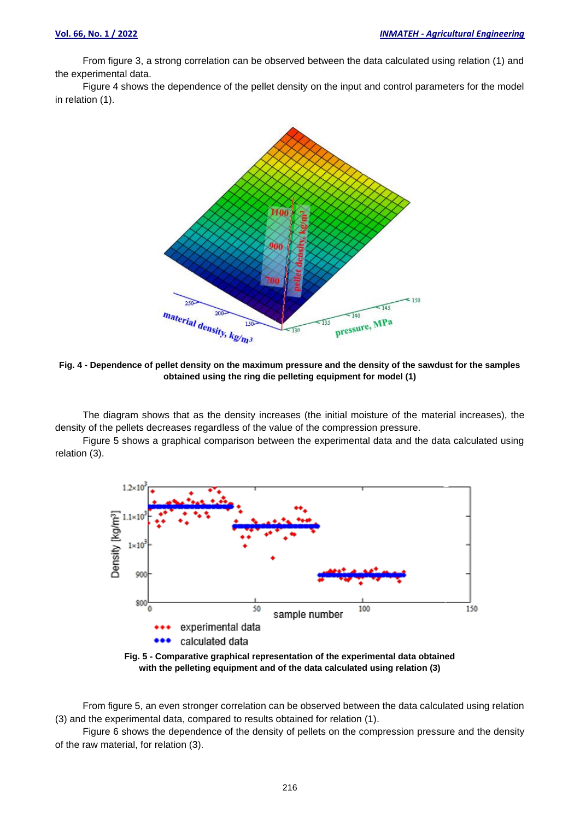From figure 3, a strong correlation can be observed between the data calculated using relation (1) and the experimental data.

Figure 4 shows the dependence of the pellet density on the input and control parameters for the model in relation (1).



**Fig. 4 - Dependence of pellet density on the maximum pressure and the density of the sawdust for the samples obtained using the ring die pelleting equipment for model (1)**

The diagram shows that as the density increases (the initial moisture of the material increases), the density of the pellets decreases regardless of the value of the compression pressure.

Figure 5 shows a graphical comparison between the experimental data and the data calculated using relation (3).



**with the pelleting equipment and of the data calculated using relation (3)**

From figure 5, an even stronger correlation can be observed between the data calculated using relation (3) and the experimental data, compared to results obtained for relation (1).

Figure 6 shows the dependence of the density of pellets on the compression pressure and the density of the raw material, for relation (3).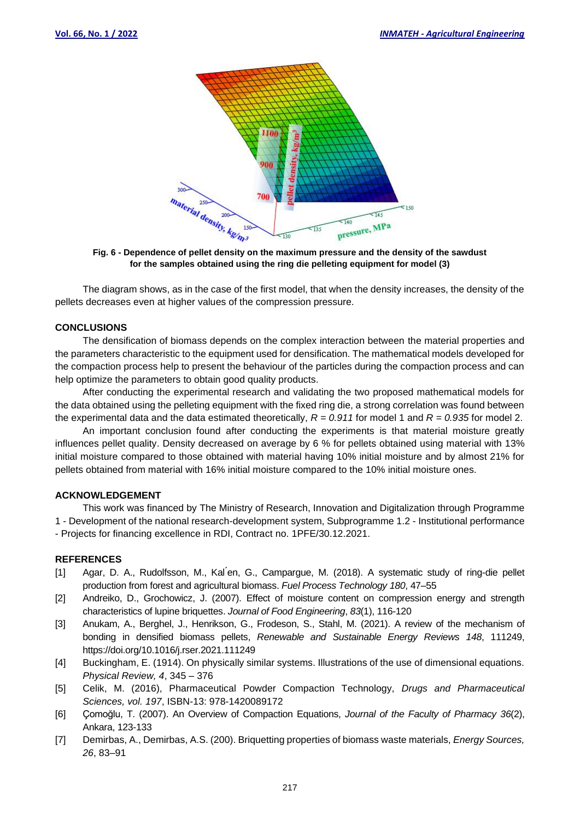

**for the samples obtained using the ring die pelleting equipment for model (3)**

The diagram shows, as in the case of the first model, that when the density increases, the density of the pellets decreases even at higher values of the compression pressure.

#### **CONCLUSIONS**

The densification of biomass depends on the complex interaction between the material properties and the parameters characteristic to the equipment used for densification. The mathematical models developed for the compaction process help to present the behaviour of the particles during the compaction process and can help optimize the parameters to obtain good quality products.

After conducting the experimental research and validating the two proposed mathematical models for the data obtained using the pelleting equipment with the fixed ring die, a strong correlation was found between the experimental data and the data estimated theoretically,  $R = 0.911$  for model 1 and  $R = 0.935$  for model 2.

An important conclusion found after conducting the experiments is that material moisture greatly influences pellet quality. Density decreased on average by 6 % for pellets obtained using material with 13% initial moisture compared to those obtained with material having 10% initial moisture and by almost 21% for pellets obtained from material with 16% initial moisture compared to the 10% initial moisture ones.

### **ACKNOWLEDGEMENT**

This work was financed by The Ministry of Research, Innovation and Digitalization through Programme 1 - Development of the national research-development system, Subprogramme 1.2 - Institutional performance - Projects for financing excellence in RDI, Contract no. 1PFE/30.12.2021.

#### **REFERENCES**

- [1] Agar, D. A., Rudolfsson, M., Kalen, G., Campargue, M. (2018). A systematic study of ring-die pellet production from forest and agricultural biomass. *Fuel Process Technology 180*, 47–55
- [2] Andreiko, D., Grochowicz, J. (2007). Effect of moisture content on compression energy and strength characteristics of lupine briquettes. *Journal of Food Engineering*, *83*(1), 116-120
- [3] Anukam, A., Berghel, J., Henrikson, G., Frodeson, S., Stahl, M. (2021). A review of the mechanism of bonding in densified biomass pellets, *Renewable and Sustainable Energy Reviews 148*, 111249, https://doi.org/10.1016/j.rser.2021.111249
- [4] Buckingham, E. (1914). On physically similar systems. Illustrations of the use of dimensional equations. *Physical Review, 4*, 345 – 376
- [5] Celik, M. (2016), Pharmaceutical Powder Compaction Technology, *Drugs and Pharmaceutical Sciences, vol. 197*, ISBN-13: 978-1420089172
- [6] Çomoğlu, T. (2007). An Overview of Compaction Equations, *Journal of the Faculty of Pharmacy 36*(2), Ankara, 123-133
- [7] Demirbas, A., Demirbas, A.S. (200). Briquetting properties of biomass waste materials, *Energy Sources, 26*, 83–91